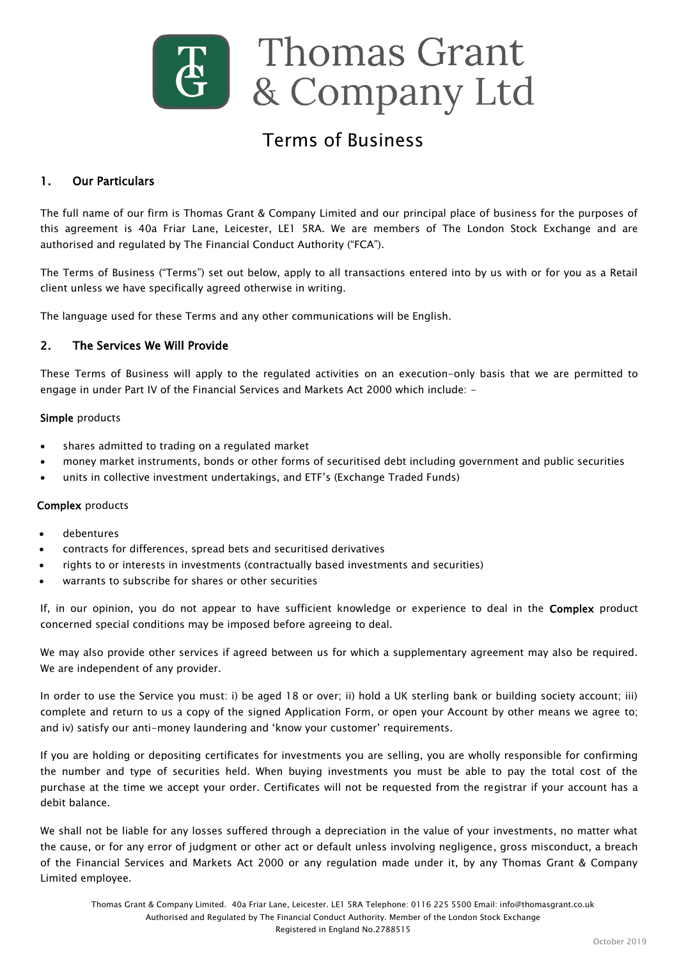

# Terms of Business

# 1. Our Particulars

The full name of our firm is Thomas Grant & Company Limited and our principal place of business for the purposes of this agreement is 40a Friar Lane, Leicester, LE1 5RA. We are members of The London Stock Exchange and are authorised and regulated by The Financial Conduct Authority ("FCA").

The Terms of Business ("Terms") set out below, apply to all transactions entered into by us with or for you as a Retail client unless we have specifically agreed otherwise in writing.

The language used for these Terms and any other communications will be English.

#### 2. The Services We Will Provide

These Terms of Business will apply to the regulated activities on an execution-only basis that we are permitted to engage in under Part IV of the Financial Services and Markets Act 2000 which include: -

#### Simple products

- shares admitted to trading on a regulated market
- money market instruments, bonds or other forms of securitised debt including government and public securities
- units in collective investment undertakings, and ETF"s (Exchange Traded Funds)

#### Complex products

- debentures
- contracts for differences, spread bets and securitised derivatives
- rights to or interests in investments (contractually based investments and securities)
- warrants to subscribe for shares or other securities

If, in our opinion, you do not appear to have sufficient knowledge or experience to deal in the Complex product concerned special conditions may be imposed before agreeing to deal.

We may also provide other services if agreed between us for which a supplementary agreement may also be required. We are independent of any provider.

In order to use the Service you must: i) be aged 18 or over; ii) hold a UK sterling bank or building society account; iii) complete and return to us a copy of the signed Application Form, or open your Account by other means we agree to; and iv) satisfy our anti-money laundering and 'know your customer' requirements.

If you are holding or depositing certificates for investments you are selling, you are wholly responsible for confirming the number and type of securities held. When buying investments you must be able to pay the total cost of the purchase at the time we accept your order. Certificates will not be requested from the registrar if your account has a debit balance.

We shall not be liable for any losses suffered through a depreciation in the value of your investments, no matter what the cause, or for any error of judgment or other act or default unless involving negligence, gross misconduct, a breach of the Financial Services and Markets Act 2000 or any regulation made under it, by any Thomas Grant & Company Limited employee.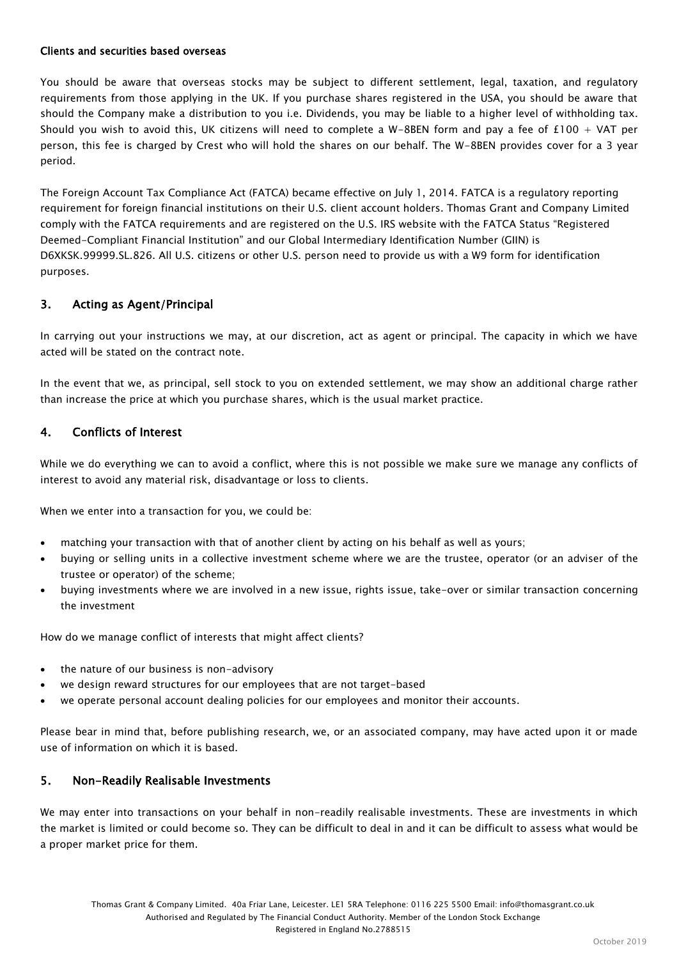#### Clients and securities based overseas

You should be aware that overseas stocks may be subject to different settlement, legal, taxation, and regulatory requirements from those applying in the UK. If you purchase shares registered in the USA, you should be aware that should the Company make a distribution to you i.e. Dividends, you may be liable to a higher level of withholding tax. Should you wish to avoid this, UK citizens will need to complete a W-8BEN form and pay a fee of  $£100 + VAT$  per person, this fee is charged by Crest who will hold the shares on our behalf. The W-8BEN provides cover for a 3 year period.

The Foreign Account Tax Compliance Act (FATCA) became effective on July 1, 2014. FATCA is a regulatory reporting requirement for foreign financial institutions on their U.S. client account holders. Thomas Grant and Company Limited comply with the FATCA requirements and are registered on the U.S. IRS website with the FATCA Status "Registered Deemed-Compliant Financial Institution" and our Global Intermediary Identification Number (GIIN) is D6XKSK.99999.SL.826. All U.S. citizens or other U.S. person need to provide us with a W9 form for identification purposes.

#### 3. Acting as Agent/Principal

In carrying out your instructions we may, at our discretion, act as agent or principal. The capacity in which we have acted will be stated on the contract note.

In the event that we, as principal, sell stock to you on extended settlement, we may show an additional charge rather than increase the price at which you purchase shares, which is the usual market practice.

#### 4. Conflicts of Interest

While we do everything we can to avoid a conflict, where this is not possible we make sure we manage any conflicts of interest to avoid any material risk, disadvantage or loss to clients.

When we enter into a transaction for you, we could be:

- matching your transaction with that of another client by acting on his behalf as well as yours;
- buying or selling units in a collective investment scheme where we are the trustee, operator (or an adviser of the trustee or operator) of the scheme;
- buying investments where we are involved in a new issue, rights issue, take-over or similar transaction concerning the investment

How do we manage conflict of interests that might affect clients?

- the nature of our business is non-advisory
- we design reward structures for our employees that are not target-based
- we operate personal account dealing policies for our employees and monitor their accounts.

Please bear in mind that, before publishing research, we, or an associated company, may have acted upon it or made use of information on which it is based.

#### 5. Non-Readily Realisable Investments

We may enter into transactions on your behalf in non-readily realisable investments. These are investments in which the market is limited or could become so. They can be difficult to deal in and it can be difficult to assess what would be a proper market price for them.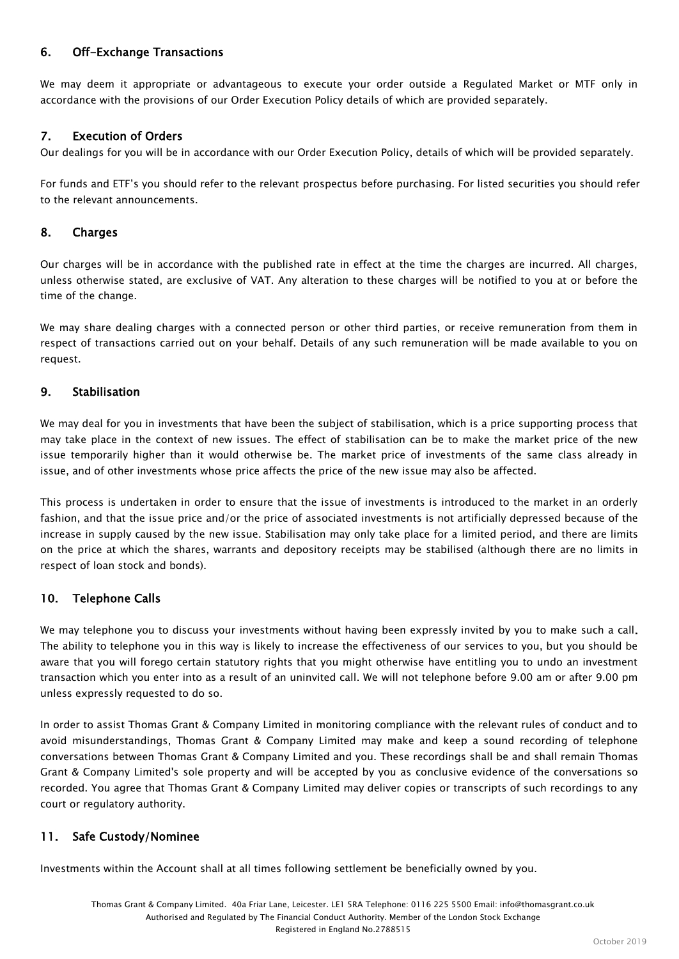# 6. Off-Exchange Transactions

We may deem it appropriate or advantageous to execute your order outside a Regulated Market or MTF only in accordance with the provisions of our Order Execution Policy details of which are provided separately.

## 7. Execution of Orders

Our dealings for you will be in accordance with our Order Execution Policy, details of which will be provided separately.

For funds and ETF"s you should refer to the relevant prospectus before purchasing. For listed securities you should refer to the relevant announcements.

#### 8. Charges

Our charges will be in accordance with the published rate in effect at the time the charges are incurred. All charges, unless otherwise stated, are exclusive of VAT. Any alteration to these charges will be notified to you at or before the time of the change.

We may share dealing charges with a connected person or other third parties, or receive remuneration from them in respect of transactions carried out on your behalf. Details of any such remuneration will be made available to you on request.

#### 9. Stabilisation

We may deal for you in investments that have been the subject of stabilisation, which is a price supporting process that may take place in the context of new issues. The effect of stabilisation can be to make the market price of the new issue temporarily higher than it would otherwise be. The market price of investments of the same class already in issue, and of other investments whose price affects the price of the new issue may also be affected.

This process is undertaken in order to ensure that the issue of investments is introduced to the market in an orderly fashion, and that the issue price and/or the price of associated investments is not artificially depressed because of the increase in supply caused by the new issue. Stabilisation may only take place for a limited period, and there are limits on the price at which the shares, warrants and depository receipts may be stabilised (although there are no limits in respect of loan stock and bonds).

## 10. Telephone Calls

We may telephone you to discuss your investments without having been expressly invited by you to make such a call. The ability to telephone you in this way is likely to increase the effectiveness of our services to you, but you should be aware that you will forego certain statutory rights that you might otherwise have entitling you to undo an investment transaction which you enter into as a result of an uninvited call. We will not telephone before 9.00 am or after 9.00 pm unless expressly requested to do so.

In order to assist Thomas Grant & Company Limited in monitoring compliance with the relevant rules of conduct and to avoid misunderstandings, Thomas Grant & Company Limited may make and keep a sound recording of telephone conversations between Thomas Grant & Company Limited and you. These recordings shall be and shall remain Thomas Grant & Company Limited's sole property and will be accepted by you as conclusive evidence of the conversations so recorded. You agree that Thomas Grant & Company Limited may deliver copies or transcripts of such recordings to any court or regulatory authority.

## 11. Safe Custody/Nominee

Investments within the Account shall at all times following settlement be beneficially owned by you.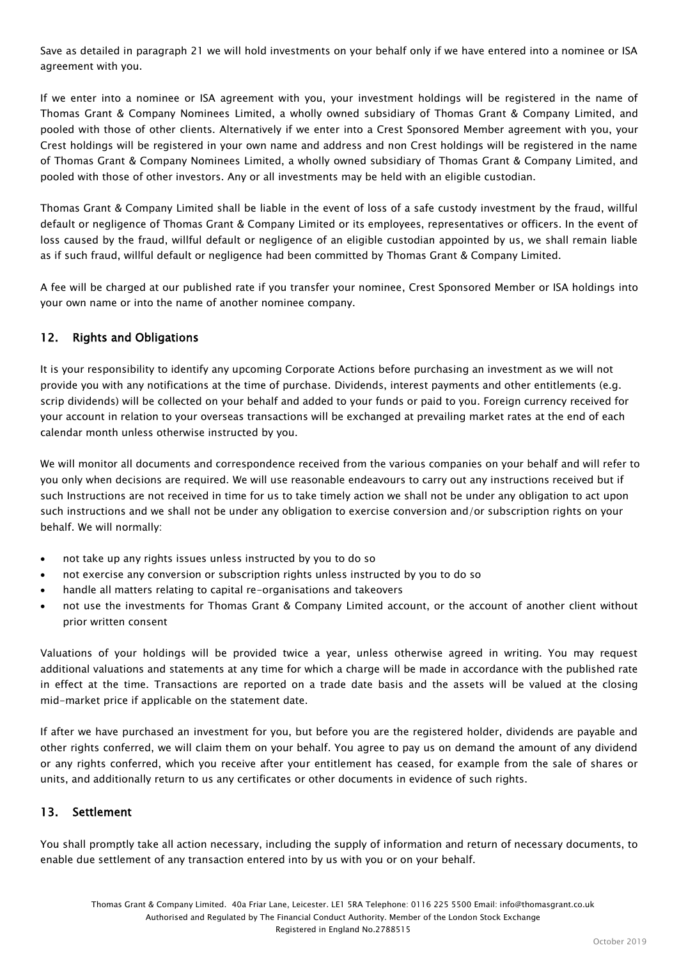Save as detailed in paragraph 21 we will hold investments on your behalf only if we have entered into a nominee or ISA agreement with you.

If we enter into a nominee or ISA agreement with you, your investment holdings will be registered in the name of Thomas Grant & Company Nominees Limited, a wholly owned subsidiary of Thomas Grant & Company Limited, and pooled with those of other clients. Alternatively if we enter into a Crest Sponsored Member agreement with you, your Crest holdings will be registered in your own name and address and non Crest holdings will be registered in the name of Thomas Grant & Company Nominees Limited, a wholly owned subsidiary of Thomas Grant & Company Limited, and pooled with those of other investors. Any or all investments may be held with an eligible custodian.

Thomas Grant & Company Limited shall be liable in the event of loss of a safe custody investment by the fraud, willful default or negligence of Thomas Grant & Company Limited or its employees, representatives or officers. In the event of loss caused by the fraud, willful default or negligence of an eligible custodian appointed by us, we shall remain liable as if such fraud, willful default or negligence had been committed by Thomas Grant & Company Limited.

A fee will be charged at our published rate if you transfer your nominee, Crest Sponsored Member or ISA holdings into your own name or into the name of another nominee company.

# 12. Rights and Obligations

It is your responsibility to identify any upcoming Corporate Actions before purchasing an investment as we will not provide you with any notifications at the time of purchase. Dividends, interest payments and other entitlements (e.g. scrip dividends) will be collected on your behalf and added to your funds or paid to you. Foreign currency received for your account in relation to your overseas transactions will be exchanged at prevailing market rates at the end of each calendar month unless otherwise instructed by you.

We will monitor all documents and correspondence received from the various companies on your behalf and will refer to you only when decisions are required. We will use reasonable endeavours to carry out any instructions received but if such Instructions are not received in time for us to take timely action we shall not be under any obligation to act upon such instructions and we shall not be under any obligation to exercise conversion and/or subscription rights on your behalf. We will normally:

- not take up any rights issues unless instructed by you to do so
- not exercise any conversion or subscription rights unless instructed by you to do so
- handle all matters relating to capital re-organisations and takeovers
- not use the investments for Thomas Grant & Company Limited account, or the account of another client without prior written consent

Valuations of your holdings will be provided twice a year, unless otherwise agreed in writing. You may request additional valuations and statements at any time for which a charge will be made in accordance with the published rate in effect at the time. Transactions are reported on a trade date basis and the assets will be valued at the closing mid-market price if applicable on the statement date.

If after we have purchased an investment for you, but before you are the registered holder, dividends are payable and other rights conferred, we will claim them on your behalf. You agree to pay us on demand the amount of any dividend or any rights conferred, which you receive after your entitlement has ceased, for example from the sale of shares or units, and additionally return to us any certificates or other documents in evidence of such rights.

## 13. Settlement

You shall promptly take all action necessary, including the supply of information and return of necessary documents, to enable due settlement of any transaction entered into by us with you or on your behalf.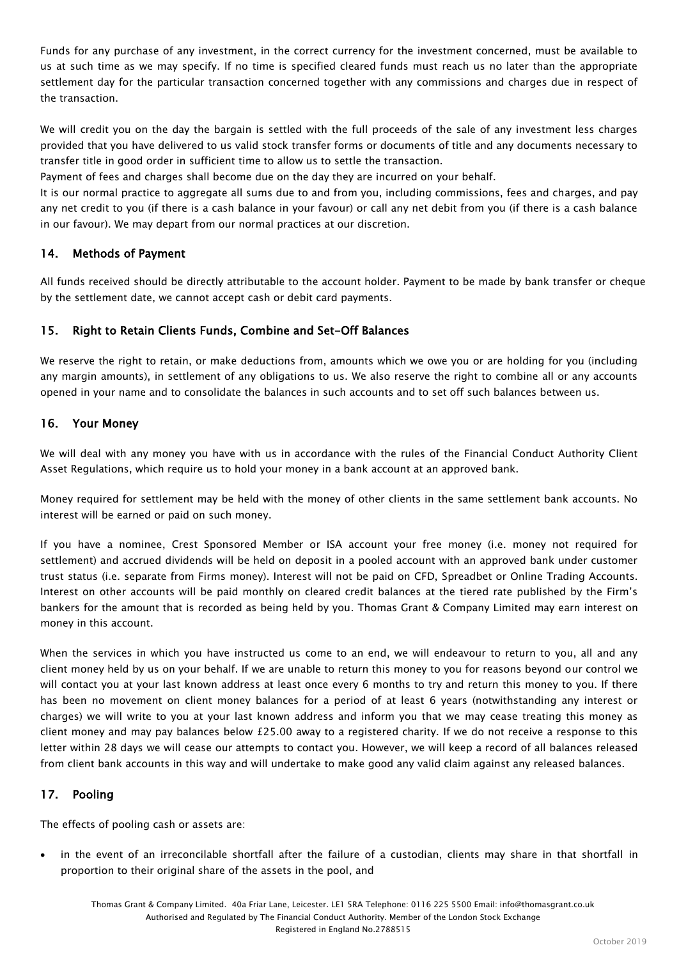Funds for any purchase of any investment, in the correct currency for the investment concerned, must be available to us at such time as we may specify. If no time is specified cleared funds must reach us no later than the appropriate settlement day for the particular transaction concerned together with any commissions and charges due in respect of the transaction.

We will credit you on the day the bargain is settled with the full proceeds of the sale of any investment less charges provided that you have delivered to us valid stock transfer forms or documents of title and any documents necessary to transfer title in good order in sufficient time to allow us to settle the transaction.

Payment of fees and charges shall become due on the day they are incurred on your behalf.

It is our normal practice to aggregate all sums due to and from you, including commissions, fees and charges, and pay any net credit to you (if there is a cash balance in your favour) or call any net debit from you (if there is a cash balance in our favour). We may depart from our normal practices at our discretion.

## 14. Methods of Payment

All funds received should be directly attributable to the account holder. Payment to be made by bank transfer or cheque by the settlement date, we cannot accept cash or debit card payments.

# 15. Right to Retain Clients Funds, Combine and Set-Off Balances

We reserve the right to retain, or make deductions from, amounts which we owe you or are holding for you (including any margin amounts), in settlement of any obligations to us. We also reserve the right to combine all or any accounts opened in your name and to consolidate the balances in such accounts and to set off such balances between us.

## 16. Your Money

We will deal with any money you have with us in accordance with the rules of the Financial Conduct Authority Client Asset Regulations, which require us to hold your money in a bank account at an approved bank.

Money required for settlement may be held with the money of other clients in the same settlement bank accounts. No interest will be earned or paid on such money.

If you have a nominee, Crest Sponsored Member or ISA account your free money (i.e. money not required for settlement) and accrued dividends will be held on deposit in a pooled account with an approved bank under customer trust status (i.e. separate from Firms money). Interest will not be paid on CFD, Spreadbet or Online Trading Accounts. Interest on other accounts will be paid monthly on cleared credit balances at the tiered rate published by the Firm"s bankers for the amount that is recorded as being held by you. Thomas Grant & Company Limited may earn interest on money in this account.

When the services in which you have instructed us come to an end, we will endeavour to return to you, all and any client money held by us on your behalf. If we are unable to return this money to you for reasons beyond our control we will contact you at your last known address at least once every 6 months to try and return this money to you. If there has been no movement on client money balances for a period of at least 6 years (notwithstanding any interest or charges) we will write to you at your last known address and inform you that we may cease treating this money as client money and may pay balances below £25.00 away to a registered charity. If we do not receive a response to this letter within 28 days we will cease our attempts to contact you. However, we will keep a record of all balances released from client bank accounts in this way and will undertake to make good any valid claim against any released balances.

## 17. Pooling

The effects of pooling cash or assets are:

 in the event of an irreconcilable shortfall after the failure of a custodian, clients may share in that shortfall in proportion to their original share of the assets in the pool, and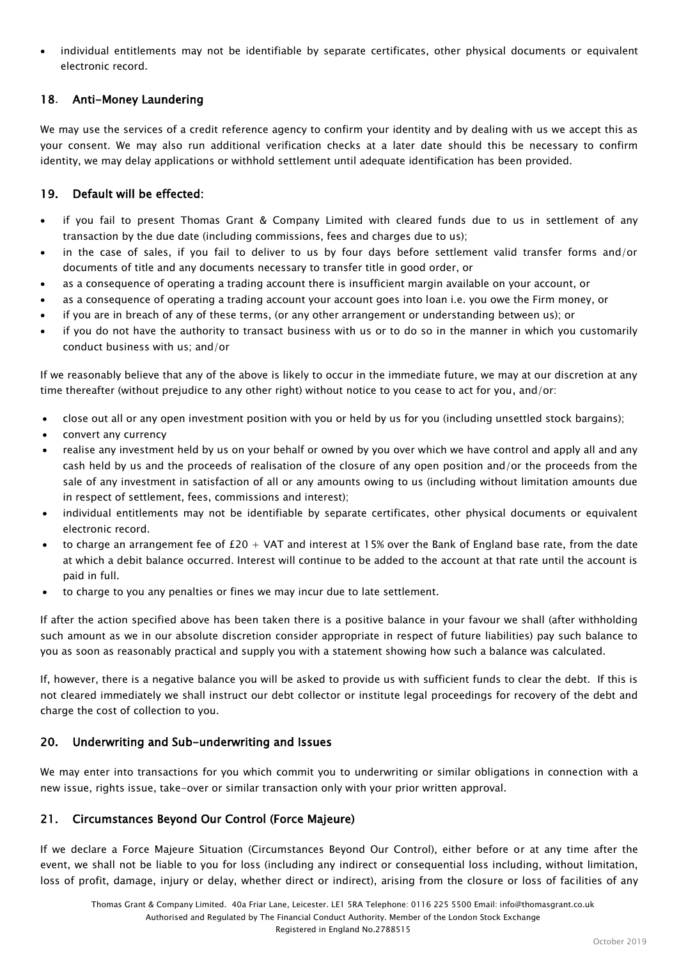individual entitlements may not be identifiable by separate certificates, other physical documents or equivalent electronic record.

# 18. Anti-Money Laundering

We may use the services of a credit reference agency to confirm your identity and by dealing with us we accept this as your consent. We may also run additional verification checks at a later date should this be necessary to confirm identity, we may delay applications or withhold settlement until adequate identification has been provided.

# 19. Default will be effected:

- if you fail to present Thomas Grant & Company Limited with cleared funds due to us in settlement of any transaction by the due date (including commissions, fees and charges due to us);
- in the case of sales, if you fail to deliver to us by four days before settlement valid transfer forms and/or documents of title and any documents necessary to transfer title in good order, or
- as a consequence of operating a trading account there is insufficient margin available on your account, or
- as a consequence of operating a trading account your account goes into loan i.e. you owe the Firm money, or
- if you are in breach of any of these terms, (or any other arrangement or understanding between us); or
- if you do not have the authority to transact business with us or to do so in the manner in which you customarily conduct business with us; and/or

If we reasonably believe that any of the above is likely to occur in the immediate future, we may at our discretion at any time thereafter (without prejudice to any other right) without notice to you cease to act for you, and/or:

- close out all or any open investment position with you or held by us for you (including unsettled stock bargains);
- convert any currency
- realise any investment held by us on your behalf or owned by you over which we have control and apply all and any cash held by us and the proceeds of realisation of the closure of any open position and/or the proceeds from the sale of any investment in satisfaction of all or any amounts owing to us (including without limitation amounts due in respect of settlement, fees, commissions and interest);
- individual entitlements may not be identifiable by separate certificates, other physical documents or equivalent electronic record.
- to charge an arrangement fee of  $£20 + VAT$  and interest at 15% over the Bank of England base rate, from the date at which a debit balance occurred. Interest will continue to be added to the account at that rate until the account is paid in full.
- to charge to you any penalties or fines we may incur due to late settlement.

If after the action specified above has been taken there is a positive balance in your favour we shall (after withholding such amount as we in our absolute discretion consider appropriate in respect of future liabilities) pay such balance to you as soon as reasonably practical and supply you with a statement showing how such a balance was calculated.

If, however, there is a negative balance you will be asked to provide us with sufficient funds to clear the debt. If this is not cleared immediately we shall instruct our debt collector or institute legal proceedings for recovery of the debt and charge the cost of collection to you.

## 20. Underwriting and Sub-underwriting and Issues

We may enter into transactions for you which commit you to underwriting or similar obligations in connection with a new issue, rights issue, take-over or similar transaction only with your prior written approval.

## 21. Circumstances Beyond Our Control (Force Majeure)

If we declare a Force Majeure Situation (Circumstances Beyond Our Control), either before or at any time after the event, we shall not be liable to you for loss (including any indirect or consequential loss including, without limitation, loss of profit, damage, injury or delay, whether direct or indirect), arising from the closure or loss of facilities of any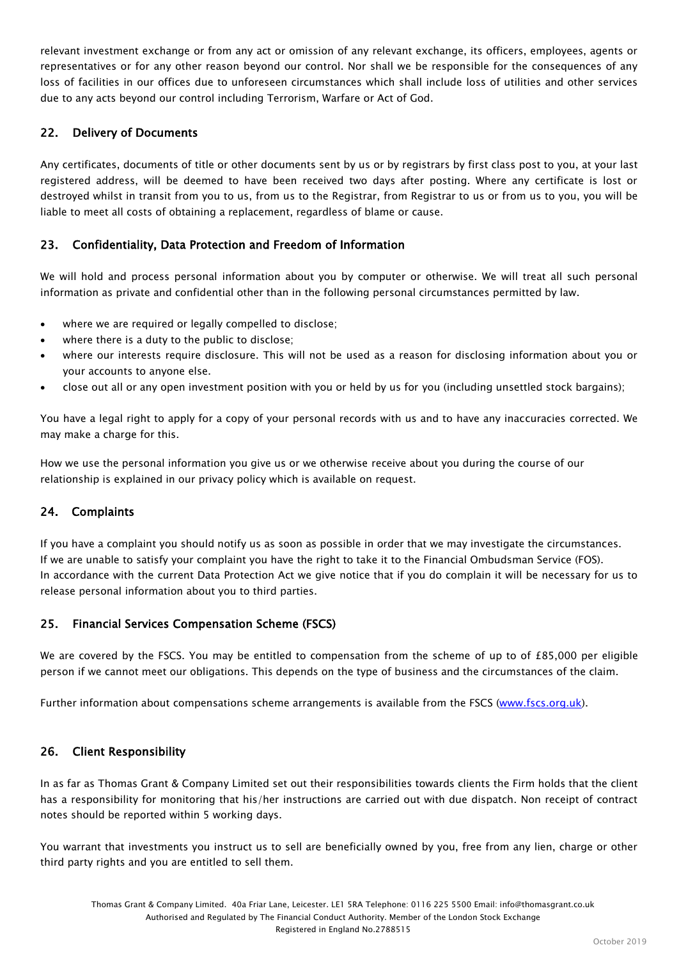relevant investment exchange or from any act or omission of any relevant exchange, its officers, employees, agents or representatives or for any other reason beyond our control. Nor shall we be responsible for the consequences of any loss of facilities in our offices due to unforeseen circumstances which shall include loss of utilities and other services due to any acts beyond our control including Terrorism, Warfare or Act of God.

# 22. Delivery of Documents

Any certificates, documents of title or other documents sent by us or by registrars by first class post to you, at your last registered address, will be deemed to have been received two days after posting. Where any certificate is lost or destroyed whilst in transit from you to us, from us to the Registrar, from Registrar to us or from us to you, you will be liable to meet all costs of obtaining a replacement, regardless of blame or cause.

## 23. Confidentiality, Data Protection and Freedom of Information

We will hold and process personal information about you by computer or otherwise. We will treat all such personal information as private and confidential other than in the following personal circumstances permitted by law.

- where we are required or legally compelled to disclose;
- where there is a duty to the public to disclose;
- where our interests require disclosure. This will not be used as a reason for disclosing information about you or your accounts to anyone else.
- close out all or any open investment position with you or held by us for you (including unsettled stock bargains);

You have a legal right to apply for a copy of your personal records with us and to have any inaccuracies corrected. We may make a charge for this.

How we use the personal information you give us or we otherwise receive about you during the course of our relationship is explained in our privacy policy which is available on request.

## 24. Complaints

If you have a complaint you should notify us as soon as possible in order that we may investigate the circumstances. If we are unable to satisfy your complaint you have the right to take it to the Financial Ombudsman Service (FOS). In accordance with the current Data Protection Act we give notice that if you do complain it will be necessary for us to release personal information about you to third parties.

## 25. Financial Services Compensation Scheme (FSCS)

We are covered by the FSCS. You may be entitled to compensation from the scheme of up to of  $£85,000$  per eligible person if we cannot meet our obligations. This depends on the type of business and the circumstances of the claim.

Further information about compensations scheme arrangements is available from the FSCS [\(www.fscs.org.uk\)](http://www.fscs.org.uk/).

#### 26. Client Responsibility

In as far as Thomas Grant & Company Limited set out their responsibilities towards clients the Firm holds that the client has a responsibility for monitoring that his/her instructions are carried out with due dispatch. Non receipt of contract notes should be reported within 5 working days.

You warrant that investments you instruct us to sell are beneficially owned by you, free from any lien, charge or other third party rights and you are entitled to sell them.